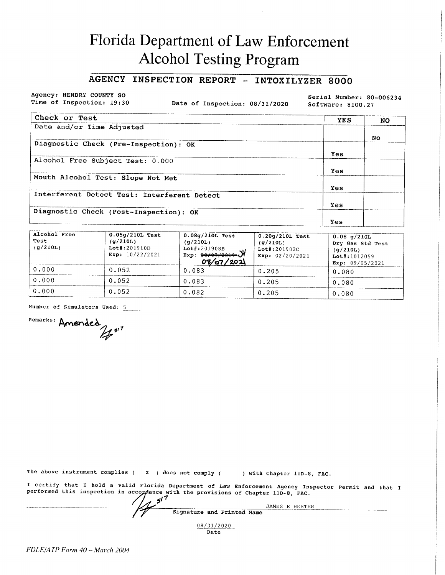# Florida Department of Law Enforcement **Alcohol Testing Program**

### AGENCY INSPECTION REPORT - INTOXILYZER 8000

Agency: HENDRY COUNTY SO Time of Inspection: 19:30

Date of Inspection: 08/31/2020

Serial Number: 80-006234 Software: 8100.27

| Check or Test                               | <b>YES</b> | NO. |
|---------------------------------------------|------------|-----|
| Date and/or Time Adjusted                   |            |     |
|                                             |            | No. |
| Diagnostic Check (Pre-Inspection): OK       |            |     |
|                                             | Yes        |     |
| Alcohol Free Subject Test: 0.000            |            |     |
|                                             | Yes        |     |
| Mouth Alcohol Test: Slope Not Met           |            |     |
|                                             | Yes        |     |
| Interferent Detect Test: Interferent Detect |            |     |
|                                             | Yes        |     |
| Diagnostic Check (Post-Inspection): OK      |            |     |
|                                             | Yes        |     |

| Alcohol Free<br>Test<br>(q/210L) | $0.05q/210L$ Test<br>(q/210L)<br>$Lot$ #:201910D<br>Exp: $10/22/2021$ | $0.08q/210L$ Test<br>(q/210L)<br>$Lot$ #:201908B<br>$\frac{1}{\exp: 0.07772019}$<br>08/07/202 | $0.20$ g/210L Test<br>(q/210L)<br>$Lot$ #:201902C<br>Exp: $02/20/2021$ | 0.08 q/210L<br>Dry Gas Std Test<br>(q/210L)<br>$Lot$ #: 1012059<br>Exp: 09/05/2021 |
|----------------------------------|-----------------------------------------------------------------------|-----------------------------------------------------------------------------------------------|------------------------------------------------------------------------|------------------------------------------------------------------------------------|
| 0.000                            | 0.052                                                                 | 0.083                                                                                         | 0.205                                                                  | 0.080                                                                              |
| 0.000                            | 0.052                                                                 | 0.083                                                                                         | 0.205                                                                  | 0.080                                                                              |
| 0.000                            | 0.052                                                                 | 0.082                                                                                         | 0.205                                                                  | 0.080                                                                              |

Number of Simulators Used: 5

Remarks: Amended

The above instrument complies ( $\boldsymbol{X}$ ) does not comply ( ) with Chapter 11D-8, FAC. I certify that I hold a valid Florida Department of Law Enforcement Agency Inspector Permit and that I performed this inspection in accordance with the provisions of Chapter 11D-8, FAC.  $5^{17}$ JAMES R HESTER Signature and Printed Name

> 08/31/2020 Date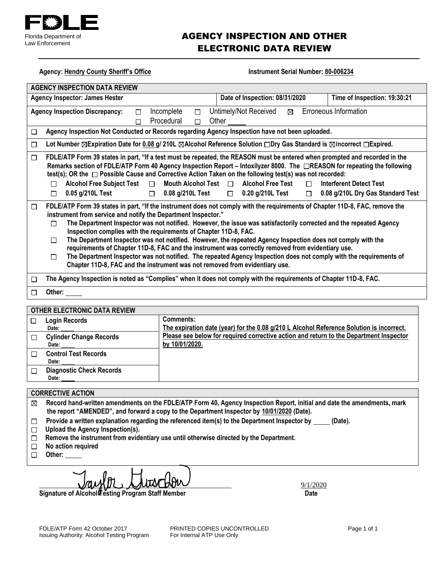

## AGENCY INSPECTION AND OTHER ELECTRONIC DATA REVIEW

| <b>Agency: Hendry County Sheriff's Office</b>                                                                                                                                                                                                                                                                                                                                                                                                                                                                                                                                                                                                                                                                                                                                                                                                                                                                                                                     | Instrument Serial Number: 80-006234                                                                                                                                                                                                                                                                                                                                                                                                                                    |  |
|-------------------------------------------------------------------------------------------------------------------------------------------------------------------------------------------------------------------------------------------------------------------------------------------------------------------------------------------------------------------------------------------------------------------------------------------------------------------------------------------------------------------------------------------------------------------------------------------------------------------------------------------------------------------------------------------------------------------------------------------------------------------------------------------------------------------------------------------------------------------------------------------------------------------------------------------------------------------|------------------------------------------------------------------------------------------------------------------------------------------------------------------------------------------------------------------------------------------------------------------------------------------------------------------------------------------------------------------------------------------------------------------------------------------------------------------------|--|
| <b>AGENCY INSPECTION DATA REVIEW</b>                                                                                                                                                                                                                                                                                                                                                                                                                                                                                                                                                                                                                                                                                                                                                                                                                                                                                                                              |                                                                                                                                                                                                                                                                                                                                                                                                                                                                        |  |
| <b>Agency Inspector: James Hester</b>                                                                                                                                                                                                                                                                                                                                                                                                                                                                                                                                                                                                                                                                                                                                                                                                                                                                                                                             | Time of Inspection: 19:30:21<br>Date of Inspection: 08/31/2020                                                                                                                                                                                                                                                                                                                                                                                                         |  |
| <b>Agency Inspection Discrepancy:</b><br>$\Box$<br>П                                                                                                                                                                                                                                                                                                                                                                                                                                                                                                                                                                                                                                                                                                                                                                                                                                                                                                              | $\boxtimes$ Erroneous Information<br>Incomplete<br>Untimely/Not Received<br>$\Box$<br>Procedural<br>Other<br>П                                                                                                                                                                                                                                                                                                                                                         |  |
| □                                                                                                                                                                                                                                                                                                                                                                                                                                                                                                                                                                                                                                                                                                                                                                                                                                                                                                                                                                 | Agency Inspection Not Conducted or Records regarding Agency Inspection have not been uploaded.                                                                                                                                                                                                                                                                                                                                                                         |  |
| $\Box$                                                                                                                                                                                                                                                                                                                                                                                                                                                                                                                                                                                                                                                                                                                                                                                                                                                                                                                                                            | Lot Number ⊠Expiration Date for 0.08 g/ 210L ⊠Alcohol Reference Solution □Dry Gas Standard is ⊠Incorrect □Expired.                                                                                                                                                                                                                                                                                                                                                     |  |
| □<br><b>Alcohol Free Subject Test</b><br>$\Box$<br>п                                                                                                                                                                                                                                                                                                                                                                                                                                                                                                                                                                                                                                                                                                                                                                                                                                                                                                              | FDLE/ATP Form 39 states in part, "If a test must be repeated, the REASON must be entered when prompted and recorded in the<br>Remarks section of FDLE/ATP Form 40 Agency Inspection Report – Intoxilyzer 8000. The □REASON for repeating the following<br>test(s); OR the □ Possible Cause and Corrective Action Taken on the following test(s) was not recorded:<br>Mouth Alcohol Test $\Box$<br><b>Alcohol Free Test</b><br><b>Interferent Detect Test</b><br>$\Box$ |  |
| 0.05 g/210L Test<br>$\Box$ 0.08 g/210L Test<br>$\Box$ 0.20 g/210L Test<br>0.08 g/210L Dry Gas Standard Test<br>$\Box$<br>П<br>FDLE/ATP Form 39 states in part, "If the instrument does not comply with the requirements of Chapter 11D-8, FAC, remove the<br>□<br>instrument from service and notify the Department Inspector."<br>The Department Inspector was not notified. However, the issue was satisfactorily corrected and the repeated Agency<br>П<br>Inspection complies with the requirements of Chapter 11D-8, FAC.<br>The Department Inspector was not notified. However, the repeated Agency Inspection does not comply with the<br>П<br>requirements of Chapter 11D-8, FAC and the instrument was correctly removed from evidentiary use.<br>The Department Inspector was not notified. The repeated Agency Inspection does not comply with the requirements of<br>П<br>Chapter 11D-8, FAC and the instrument was not removed from evidentiary use. |                                                                                                                                                                                                                                                                                                                                                                                                                                                                        |  |
| □                                                                                                                                                                                                                                                                                                                                                                                                                                                                                                                                                                                                                                                                                                                                                                                                                                                                                                                                                                 | The Agency Inspection is noted as "Complies" when it does not comply with the requirements of Chapter 11D-8, FAC.                                                                                                                                                                                                                                                                                                                                                      |  |
| Other:<br>□                                                                                                                                                                                                                                                                                                                                                                                                                                                                                                                                                                                                                                                                                                                                                                                                                                                                                                                                                       |                                                                                                                                                                                                                                                                                                                                                                                                                                                                        |  |
| <b>OTHER ELECTRONIC DATA REVIEW</b>                                                                                                                                                                                                                                                                                                                                                                                                                                                                                                                                                                                                                                                                                                                                                                                                                                                                                                                               |                                                                                                                                                                                                                                                                                                                                                                                                                                                                        |  |
| <b>Login Records</b><br>$\Box$                                                                                                                                                                                                                                                                                                                                                                                                                                                                                                                                                                                                                                                                                                                                                                                                                                                                                                                                    | <b>Comments:</b>                                                                                                                                                                                                                                                                                                                                                                                                                                                       |  |
| Date:                                                                                                                                                                                                                                                                                                                                                                                                                                                                                                                                                                                                                                                                                                                                                                                                                                                                                                                                                             | The expiration date (year) for the 0.08 g/210 L Alcohol Reference Solution is incorrect.                                                                                                                                                                                                                                                                                                                                                                               |  |
| <b>Cylinder Change Records</b><br>□<br>Date:                                                                                                                                                                                                                                                                                                                                                                                                                                                                                                                                                                                                                                                                                                                                                                                                                                                                                                                      | Please see below for required corrective action and return to the Department Inspector<br>by 10/01/2020.                                                                                                                                                                                                                                                                                                                                                               |  |
| <b>Control Test Records</b><br>□<br>Date:                                                                                                                                                                                                                                                                                                                                                                                                                                                                                                                                                                                                                                                                                                                                                                                                                                                                                                                         |                                                                                                                                                                                                                                                                                                                                                                                                                                                                        |  |
| <b>Diagnostic Check Records</b><br>□<br>Date:                                                                                                                                                                                                                                                                                                                                                                                                                                                                                                                                                                                                                                                                                                                                                                                                                                                                                                                     |                                                                                                                                                                                                                                                                                                                                                                                                                                                                        |  |
| <b>CORRECTIVE ACTION</b>                                                                                                                                                                                                                                                                                                                                                                                                                                                                                                                                                                                                                                                                                                                                                                                                                                                                                                                                          |                                                                                                                                                                                                                                                                                                                                                                                                                                                                        |  |
| Record hand-written amendments on the FDLE/ATP Form 40, Agency Inspection Report, initial and date the amendments, mark<br>⊠<br>the report "AMENDED", and forward a copy to the Department Inspector by 10/01/2020 (Date).<br>Provide a written explanation regarding the referenced item(s) to the Department Inspector by<br>(Date).<br>□<br>Upload the Agency Inspection(s).<br>□<br>Remove the instrument from evidentiary use until otherwise directed by the Department.<br>□<br>No action required<br>□                                                                                                                                                                                                                                                                                                                                                                                                                                                    |                                                                                                                                                                                                                                                                                                                                                                                                                                                                        |  |
| Other:<br>□                                                                                                                                                                                                                                                                                                                                                                                                                                                                                                                                                                                                                                                                                                                                                                                                                                                                                                                                                       |                                                                                                                                                                                                                                                                                                                                                                                                                                                                        |  |

 $\frac{9}{1/2020}$ 

**Signature of Alcohol Testing Program Staff Member Date**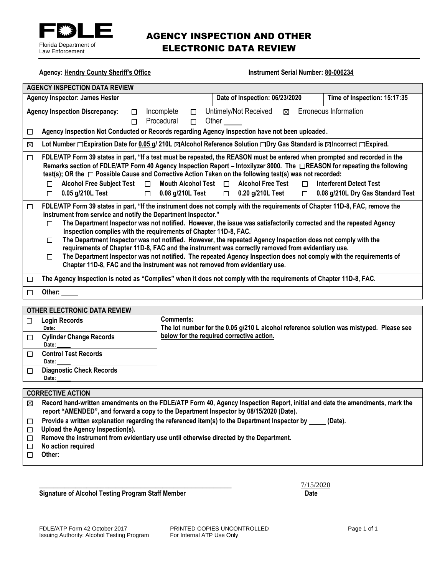

## AGENCY INSPECTION AND OTHER ELECTRONIC DATA REVIEW

| <b>Agency: Hendry County Sheriff's Office</b><br>Instrument Serial Number: 80-006234 |                                                                                                                                                                                                                                                                                                                                                                                                                                                                                                                                                                                                                                                                                                                                                                                                                                |                                                      |                                                     |             |                                                                                         |
|--------------------------------------------------------------------------------------|--------------------------------------------------------------------------------------------------------------------------------------------------------------------------------------------------------------------------------------------------------------------------------------------------------------------------------------------------------------------------------------------------------------------------------------------------------------------------------------------------------------------------------------------------------------------------------------------------------------------------------------------------------------------------------------------------------------------------------------------------------------------------------------------------------------------------------|------------------------------------------------------|-----------------------------------------------------|-------------|-----------------------------------------------------------------------------------------|
| <b>AGENCY INSPECTION DATA REVIEW</b>                                                 |                                                                                                                                                                                                                                                                                                                                                                                                                                                                                                                                                                                                                                                                                                                                                                                                                                |                                                      |                                                     |             |                                                                                         |
|                                                                                      | <b>Agency Inspector: James Hester</b>                                                                                                                                                                                                                                                                                                                                                                                                                                                                                                                                                                                                                                                                                                                                                                                          |                                                      | Date of Inspection: 06/23/2020                      |             | Time of Inspection: 15:17:35                                                            |
|                                                                                      | <b>Agency Inspection Discrepancy:</b><br>$\Box$<br>$\Box$                                                                                                                                                                                                                                                                                                                                                                                                                                                                                                                                                                                                                                                                                                                                                                      | Incomplete<br>$\Box$<br>Procedural<br>$\Box$         | Untimely/Not Received<br>$\boxtimes$<br>Other       |             | Erroneous Information                                                                   |
| □                                                                                    | Agency Inspection Not Conducted or Records regarding Agency Inspection have not been uploaded.                                                                                                                                                                                                                                                                                                                                                                                                                                                                                                                                                                                                                                                                                                                                 |                                                      |                                                     |             |                                                                                         |
| ⊠                                                                                    | Lot Number □ Expiration Date for 0.05 g/ 210L ⊠Alcohol Reference Solution □ Dry Gas Standard is ⊠Incorrect □ Expired.                                                                                                                                                                                                                                                                                                                                                                                                                                                                                                                                                                                                                                                                                                          |                                                      |                                                     |             |                                                                                         |
| $\Box$                                                                               | FDLE/ATP Form 39 states in part, "If a test must be repeated, the REASON must be entered when prompted and recorded in the<br>Remarks section of FDLE/ATP Form 40 Agency Inspection Report – Intoxilyzer 8000. The □REASON for repeating the following<br>test(s); OR the $\Box$ Possible Cause and Corrective Action Taken on the following test(s) was not recorded:<br><b>Alcohol Free Subject Test</b><br>$\Box$<br>П<br>0.05 g/210L Test<br>$\Box$                                                                                                                                                                                                                                                                                                                                                                        | Mouth Alcohol Test $\Box$<br>$\Box$ 0.08 g/210L Test | <b>Alcohol Free Test</b><br>$\Box$ 0.20 g/210L Test | П<br>$\Box$ | <b>Interferent Detect Test</b><br>0.08 g/210L Dry Gas Standard Test                     |
| □                                                                                    | FDLE/ATP Form 39 states in part, "If the instrument does not comply with the requirements of Chapter 11D-8, FAC, remove the<br>instrument from service and notify the Department Inspector."<br>The Department Inspector was not notified. However, the issue was satisfactorily corrected and the repeated Agency<br>П<br>Inspection complies with the requirements of Chapter 11D-8, FAC.<br>The Department Inspector was not notified. However, the repeated Agency Inspection does not comply with the<br>П<br>requirements of Chapter 11D-8, FAC and the instrument was correctly removed from evidentiary use.<br>The Department Inspector was not notified. The repeated Agency Inspection does not comply with the requirements of<br>□<br>Chapter 11D-8, FAC and the instrument was not removed from evidentiary use. |                                                      |                                                     |             |                                                                                         |
| П                                                                                    | The Agency Inspection is noted as "Complies" when it does not comply with the requirements of Chapter 11D-8, FAC.                                                                                                                                                                                                                                                                                                                                                                                                                                                                                                                                                                                                                                                                                                              |                                                      |                                                     |             |                                                                                         |
| $\Box$                                                                               | Other:                                                                                                                                                                                                                                                                                                                                                                                                                                                                                                                                                                                                                                                                                                                                                                                                                         |                                                      |                                                     |             |                                                                                         |
|                                                                                      | <b>OTHER ELECTRONIC DATA REVIEW</b>                                                                                                                                                                                                                                                                                                                                                                                                                                                                                                                                                                                                                                                                                                                                                                                            |                                                      |                                                     |             |                                                                                         |
| $\Box$                                                                               | <b>Login Records</b><br>Date:                                                                                                                                                                                                                                                                                                                                                                                                                                                                                                                                                                                                                                                                                                                                                                                                  | <b>Comments:</b>                                     |                                                     |             | The lot number for the 0.05 g/210 L alcohol reference solution was mistyped. Please see |
| $\Box$                                                                               | <b>Cylinder Change Records</b><br>Date:                                                                                                                                                                                                                                                                                                                                                                                                                                                                                                                                                                                                                                                                                                                                                                                        |                                                      | below for the required corrective action.           |             |                                                                                         |
| П                                                                                    | <b>Control Test Records</b><br>Date:                                                                                                                                                                                                                                                                                                                                                                                                                                                                                                                                                                                                                                                                                                                                                                                           |                                                      |                                                     |             |                                                                                         |
| □                                                                                    | <b>Diagnostic Check Records</b><br>Date:                                                                                                                                                                                                                                                                                                                                                                                                                                                                                                                                                                                                                                                                                                                                                                                       |                                                      |                                                     |             |                                                                                         |
|                                                                                      | <b>CORRECTIVE ACTION</b>                                                                                                                                                                                                                                                                                                                                                                                                                                                                                                                                                                                                                                                                                                                                                                                                       |                                                      |                                                     |             |                                                                                         |
| ⊠                                                                                    | Record hand-written amendments on the FDLE/ATP Form 40, Agency Inspection Report, initial and date the amendments, mark the                                                                                                                                                                                                                                                                                                                                                                                                                                                                                                                                                                                                                                                                                                    |                                                      |                                                     |             |                                                                                         |

- **report "AMENDED", and forward a copy to the Department Inspector by 08/15/2020 (Date).**
- Provide a written explanation regarding the referenced item(s) to the Department Inspector by \_\_\_\_\_ (Date).  $\Box$
- **Upload the Agency Inspection(s).**
- **Remove the instrument from evidentiary use until otherwise directed by the Department.**
- $\Box$  **No action required**
- **Other:**

Signature of Alcohol Testing Program Staff Member **Date 19th Clubs Contains the Clubs Contains Contains Contains Contains Contains Contains Contains Contains Contains Contains Contains Contains Contains Contains Contains C** 

\_\_\_\_\_\_\_\_\_\_\_\_\_\_\_\_\_\_\_\_\_\_\_\_\_\_\_\_\_\_\_\_\_\_\_\_\_\_\_\_\_\_\_\_\_\_\_\_\_\_\_\_\_ 7/15/2020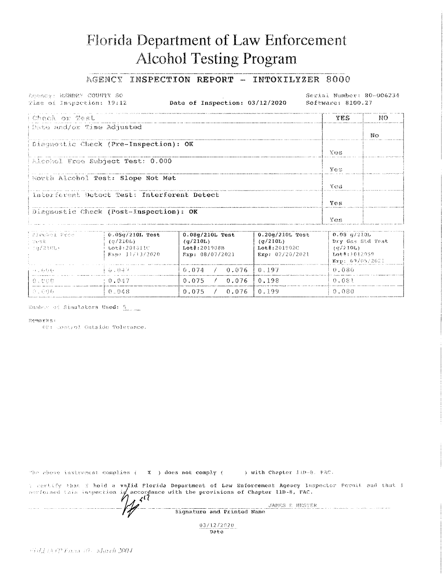# Florida Department of Law Enforcement **Alcohol Testing Program**

#### AGENCY INSPECTION REPORT - INTOXILYZER 8000

Leency: MSNDRY COUNTY SO Time of Inspection: 19:12

Date of Inspection: 03/12/2020

Serial Number: 80-006234 Software: 8100.27

| Chack or Test                               | YES.                       | NO |
|---------------------------------------------|----------------------------|----|
| Date and/or Time Adjusted                   |                            |    |
|                                             |                            | Nο |
| Diagnostic Check (Pre-Inspection): OK       |                            |    |
|                                             | Y OS.                      |    |
| Alcohol Free Subject Test: 0.000            |                            |    |
|                                             | $V \sim \mathbb{R}$        |    |
| Mouth Alcehol Test: Slope Not Met           |                            |    |
|                                             | $N \leftrightarrow \infty$ |    |
| Interferent Detect Test: Interferent Detect |                            |    |
|                                             | Ves                        |    |
| Diagnostic Check (Post-Inspection): OK      |                            |    |
|                                             | Ves                        |    |

| -Elechol From<br>- west<br>ニニカブスミむしゃ | $0.05q/210L$ Test<br>(a/210L)<br>Lot#:201311C<br>$E_{3D}$ : 11/13/2020 | $0.08q/210L$ Test<br>(q/210L)<br>$Lot\$ : 201908B<br>Fixp: 08/07/2021 | $0.20q/210L$ Test<br>(q/210L)<br>$Let$ #:201902C<br>Exp: 02/20/2021 | $0.08$ q/210L<br>Dry Gas Std Test<br>(9/210L)<br>Lot#:1012059<br>Exp: 09/05/2021 |
|--------------------------------------|------------------------------------------------------------------------|-----------------------------------------------------------------------|---------------------------------------------------------------------|----------------------------------------------------------------------------------|
| المؤاولات لمحال                      | (6.037)                                                                | 0.074<br>$\angle$ 0.076 10.197                                        |                                                                     | -0.086                                                                           |
| -6.UDD                               | -0.047                                                                 | 0.076<br>0.075                                                        | 10.198                                                              | 0.081                                                                            |
| ្នុងព្រះអ្នក                         | 0.048                                                                  | 0.075<br>0.076 0.199                                                  |                                                                     | 0.080                                                                            |

Wumber of Simulators Used: 5

#### Remarks:

02: Control Outside Tolerance.

The above instrument complies ( $X$  ) does not comply ( ) with Chapter 11D-8. FAC. I contify that I hold a valid Florida Department of Law Enforcement Ageocy Inspector Pormit and that I certoined this inspection if accordance with the provisions of Chapter 11n-8, FAC.  $\zeta$ <sup>(7</sup> JAMES R HESTER Signature and Printed Name

03/12/2020 Date